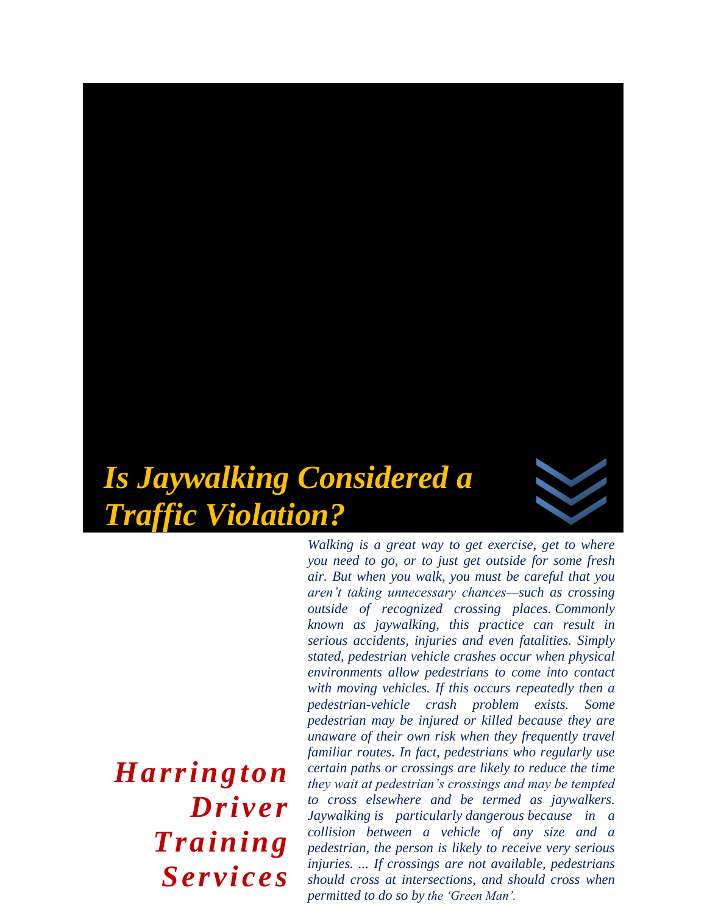

*you need to go, or to just get outside for some fresh air. But when you walk, you must be careful that you aren't taking unnecessary chances—such as crossing outside of recognized crossing places. Commonly known as jaywalking, this practice can result in serious accidents, injuries and even fatalities. Simply stated, pedestrian vehicle crashes occur when physical environments allow pedestrians to come into contact with moving vehicles. If this occurs repeatedly then a pedestrian-vehicle crash problem exists. Some pedestrian may be injured or killed because they are unaware of their own risk when they frequently travel familiar routes. In fact, pedestrians who regularly use certain paths or crossings are likely to reduce the time they wait at pedestrian's crossings and may be tempted to cross elsewhere and be termed as jaywalkers. Jaywalking is particularly dangerous because in a collision between a vehicle of any size and a pedestrian, the person is likely to receive very serious injuries. ... If crossings are not available, pedestrians should cross at intersections, and should cross when permitted to do so by the 'Green Man'.*

*Walking is a great way to get exercise, get to where* 

*Harrington Driver Training Services*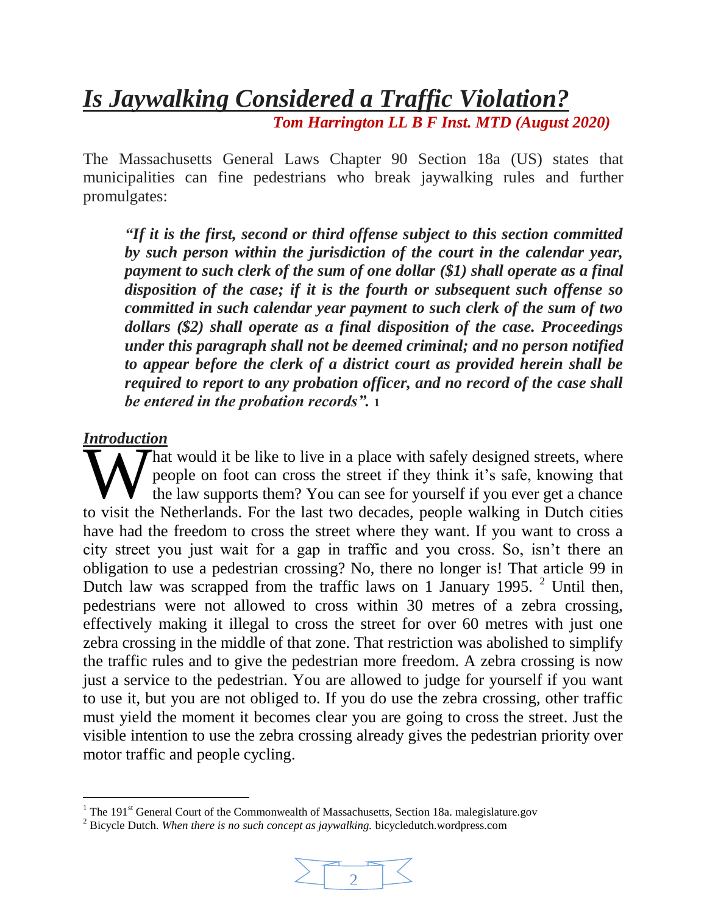*Is Jaywalking Considered a Traffic Violation? Tom Harrington LL B F Inst. MTD (August 2020)*

The Massachusetts General Laws Chapter 90 Section 18a (US) states that municipalities can fine pedestrians who break jaywalking rules and further promulgates:

*"If it is the first, second or third offense subject to this section committed by such person within the jurisdiction of the court in the calendar year, payment to such clerk of the sum of one dollar (\$1) shall operate as a final disposition of the case; if it is the fourth or subsequent such offense so committed in such calendar year payment to such clerk of the sum of two dollars (\$2) shall operate as a final disposition of the case. Proceedings under this paragraph shall not be deemed criminal; and no person notified to appear before the clerk of a district court as provided herein shall be required to report to any probation officer, and no record of the case shall be entered in the probation records".* **1**

#### *Introduction*

l

hat would it be like to live in a place with safely designed streets, where people on foot can cross the street if they think it's safe, knowing that the law supports them? You can see for yourself if you ever get a chance That would it be like to live in a place with safely designed streets, where<br>people on foot can cross the street if they think it's safe, knowing that<br>the law supports them? You can see for yourself if you ever get a chanc have had the freedom to cross the street where they want. If you want to cross a city street you just wait for a gap in traffic and you cross. So, isn't there an obligation to use a pedestrian crossing? No, there no longer is! That article 99 in Dutch law was scrapped from the traffic laws on 1 January 1995. <sup>2</sup> Until then, pedestrians were not allowed to cross within 30 metres of a zebra crossing, effectively making it illegal to cross the street for over 60 metres with just one zebra crossing in the middle of that zone. That restriction was abolished to simplify the traffic rules and to give the pedestrian more freedom. A zebra crossing is now just a service to the pedestrian. You are allowed to judge for yourself if you want to use it, but you are not obliged to. If you do use the zebra crossing, other traffic must yield the moment it becomes clear you are going to cross the street. Just the visible intention to use the zebra crossing already gives the pedestrian priority over motor traffic and people cycling.

<sup>2</sup> Bicycle Dutch. *When there is no such concept as jaywalking.* bicycledutch.wordpress.com



<sup>&</sup>lt;sup>1</sup> The 191<sup>st</sup> General Court of the Commonwealth of Massachusetts, Section 18a. malegislature.gov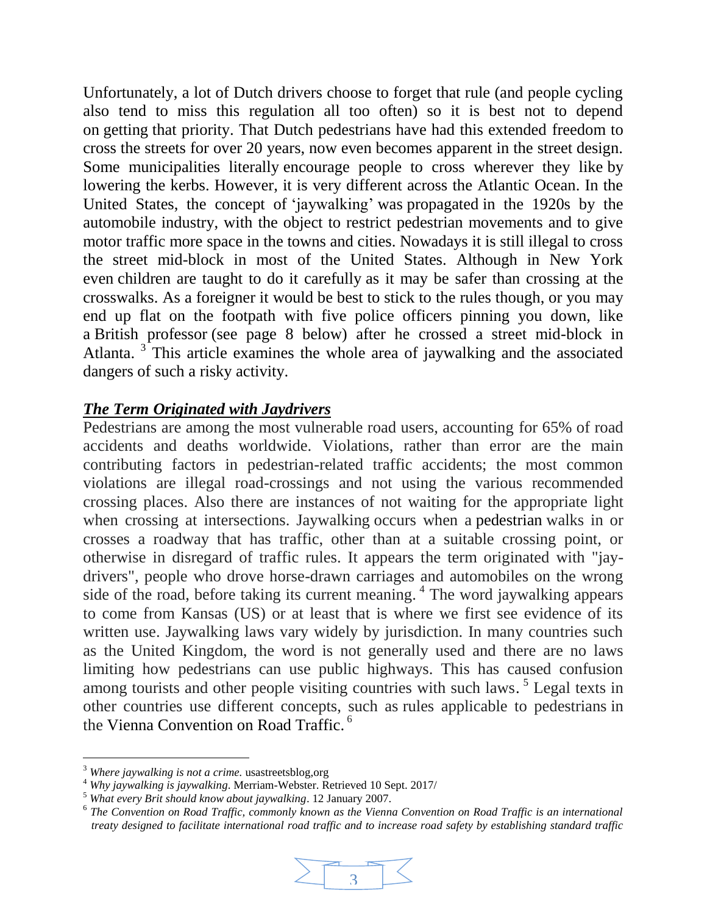Unfortunately, a lot of Dutch drivers choose to forget that rule (and people cycling also tend to miss this regulation all too often) so it is best not to depend on getting that priority. That Dutch pedestrians have had this extended freedom to cross the streets for over 20 years, now even becomes apparent in the street design. Some municipalities literally [encourage people to cross wherever they like](https://bicycledutch.wordpress.com/2014/06/12/how-to-make-motor-traffic-feel-unwelcome/) by lowering the kerbs. However, it is very different across the Atlantic Ocean. In the United States, the concept of ['jaywalking'](https://en.wikipedia.org/wiki/Jaywalking) was [propagated](http://www.bbc.com/news/magazine-26073797) in the 1920s by the automobile industry, with the object to restrict pedestrian movements and to give motor traffic more space in the towns and cities. Nowadays it is still illegal to cross the street mid-block in most of the United States. Although in New York even [children are taught to do it carefully](http://home2.nyc.gov/html/dot/html/pedestrians/cross-this-way.shtml) as it may be safer than crossing at the crosswalks. As a foreigner it would be best to stick to the rules though, or you may end up flat on the footpath with five police officers pinning you down, like a [British professor](http://news.bbc.co.uk/2/hi/6251431.stm) (see page 8 below) after he crossed a street mid-block in Atlanta.<sup>3</sup> This article examines the whole area of jaywalking and the associated dangers of such a risky activity.

### *The Term Originated with Jaydrivers*

Pedestrians are among the most vulnerable road users, accounting for 65% of road accidents and deaths worldwide. Violations, rather than error are the main contributing factors in pedestrian-related traffic accidents; the most common violations are illegal road-crossings and not using the various recommended crossing places. Also there are instances of not waiting for the appropriate light when crossing at intersections. Jaywalking occurs when a [pedestrian](https://en.wikipedia.org/wiki/Pedestrian) walks in or crosses a roadway that has traffic, other than at a suitable crossing point, or otherwise in disregard of traffic rules. It appears the term originated with "jaydrivers", people who drove horse-drawn carriages and automobiles on the wrong side of the road, before taking its current meaning.<sup>4</sup> The word jaywalking appears to come from Kansas (US) or at least that is where we first see evidence of its written use. Jaywalking laws vary widely by jurisdiction. In many countries such as the United Kingdom, the word is not generally used and there are no laws limiting how pedestrians can use public highways. This has caused confusion among tourists and other people visiting countries with such laws.<sup>5</sup> Legal texts in other countries use different concepts, such as rules applicable to pedestrians in the [Vienna Convention on Road Traffic.](https://en.wikipedia.org/wiki/Vienna_Convention_on_Road_Traffic)<sup>6</sup>

l

<sup>&</sup>lt;sup>6</sup> The Convention on Road Traffic, commonly known as the Vienna Convention on Road Traffic is an international *treaty designed to facilitate international road traffic and to increase road safety by establishing standard traffic*



<sup>3</sup> *Where jaywalking is not a crime.* usastreetsblog,org

<sup>4</sup> *Why jaywalking is jaywalking*. Merriam-Webster. Retrieved 10 Sept. 2017/

<sup>5</sup> *What every Brit should know about jaywalking*. 12 January 2007.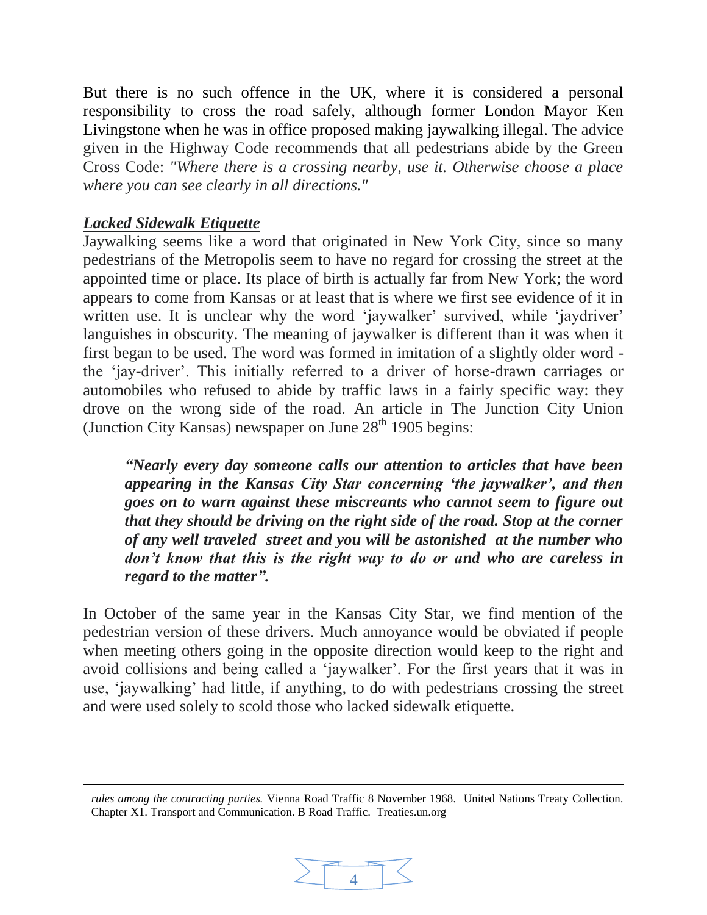But there is no such offence in the UK, where it is considered a personal responsibility to cross the road safely, although former London Mayor Ken Livingstone when he was in office proposed making jaywalking illegal. The advice given in the Highway Code recommends that all pedestrians abide by the Green Cross Code: *"Where there is a crossing nearby, use it. Otherwise choose a place where you can see clearly in all directions."* 

### *Lacked Sidewalk Etiquette*

 $\overline{a}$ 

Jaywalking seems like a word that originated in New York City, since so many pedestrians of the Metropolis seem to have no regard for crossing the street at the appointed time or place. Its place of birth is actually far from New York; the word appears to come from Kansas or at least that is where we first see evidence of it in written use. It is unclear why the word 'jaywalker' survived, while 'jaydriver' languishes in obscurity. The meaning of jaywalker is different than it was when it first began to be used. The word was formed in imitation of a slightly older word the 'jay-driver'. This initially referred to a driver of horse-drawn carriages or automobiles who refused to abide by traffic laws in a fairly specific way: they drove on the wrong side of the road. An article in The Junction City Union (Junction City Kansas) newspaper on June  $28<sup>th</sup> 1905$  begins:

*"Nearly every day someone calls our attention to articles that have been appearing in the Kansas City Star concerning 'the jaywalker', and then goes on to warn against these miscreants who cannot seem to figure out that they should be driving on the right side of the road. Stop at the corner of any well traveled street and you will be astonished at the number who don't know that this is the right way to do or and who are careless in regard to the matter".* 

In October of the same year in the Kansas City Star, we find mention of the pedestrian version of these drivers. Much annoyance would be obviated if people when meeting others going in the opposite direction would keep to the right and avoid collisions and being called a 'jaywalker'. For the first years that it was in use, 'jaywalking' had little, if anything, to do with pedestrians crossing the street and were used solely to scold those who lacked sidewalk etiquette.

*rules among the contracting parties.* Vienna Road Traffic 8 November 1968*.* United Nations Treaty Collection. Chapter X1. Transport and Communication. B Road Traffic. Treaties.un.org

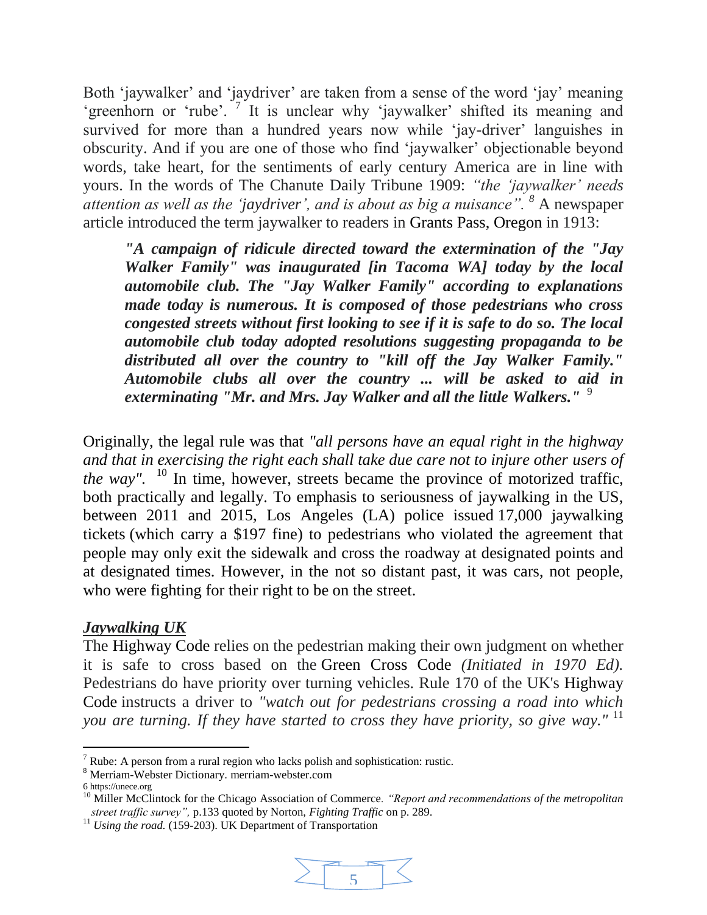Both 'jaywalker' and 'jaydriver' are taken from a sense of the word 'jay' meaning 'greenhorn or 'rube'. <sup>7</sup> It is unclear why 'jaywalker' shifted its meaning and survived for more than a hundred years now while 'jay-driver' languishes in obscurity. And if you are one of those who find 'jaywalker' objectionable beyond words, take heart, for the sentiments of early century America are in line with yours. In the words of The Chanute Daily Tribune 1909: *"the 'jaywalker' needs attention as well as the 'jaydriver', and is about as big a nuisance". <sup>8</sup>* A newspaper article introduced the term jaywalker to readers in [Grants Pass, Oregon](https://en.wikipedia.org/wiki/Grants_Pass,_Oregon) in 1913:

*"A campaign of ridicule directed toward the extermination of the "Jay Walker Family" was inaugurated [in Tacoma WA] today by the local automobile club. The "Jay Walker Family" according to explanations made today is numerous. It is composed of those pedestrians who cross congested streets without first looking to see if it is safe to do so. The local automobile club today adopted resolutions suggesting propaganda to be distributed all over the country to "kill off the Jay Walker Family." Automobile clubs all over the country ... will be asked to aid in exterminating "Mr. and Mrs. Jay Walker and all the little Walkers."* <sup>9</sup>

Originally, the legal rule was that *"all persons have an equal right in the highway and that in exercising the right each shall take due care not to injure other users of the way".* <sup>10</sup> In time, however, streets became the province of motorized traffic, both practically and legally. To emphasis to seriousness of jaywalking in the US, between 2011 and 2015, Los Angeles (LA) police issued [17,000 jaywalking](http://www.latimes.com/local/california/la-me-0503-lopez-ticket-20150506-column.html)  [tickets](http://www.latimes.com/local/california/la-me-0503-lopez-ticket-20150506-column.html) (which carry a \$197 fine) to pedestrians who violated the agreement that people may only exit the sidewalk and cross the roadway at designated points and at designated times. However, in the not so distant past, it was cars, not people, who were fighting for their right to be on the street.

### *Jaywalking UK*

The Highway Code relies on the pedestrian making their own judgment on whether it is safe to cross based on the [Green Cross Code](https://en.wikipedia.org/wiki/Green_Cross_Code) *(Initiated in 1970 Ed).* Pedestrians do have priority over turning vehicles. Rule 170 of the UK's [Highway](https://en.wikipedia.org/wiki/Highway_Code)  [Code](https://en.wikipedia.org/wiki/Highway_Code) instructs a driver to *"watch out for pedestrians crossing a road into which you are turning. If they have started to cross they have priority, so give way."* <sup>11</sup>

<sup>&</sup>lt;sup>11</sup> *Using the road.* (159-203). UK Department of Transportation



 $\overline{a}$  $7$  Rube: A person from a rural region who lacks polish and sophistication: rustic.

<sup>8</sup> Merriam-Webster Dictionary. merriam-webster.com

<sup>6</sup> https://unece.org

<sup>10</sup> Miller McClintock for the Chicago Association of Commerce*. "Report and recommendations of the metropolitan street traffic survey",* p.133 quoted by Norton, *Fighting Traffic* on p. 289.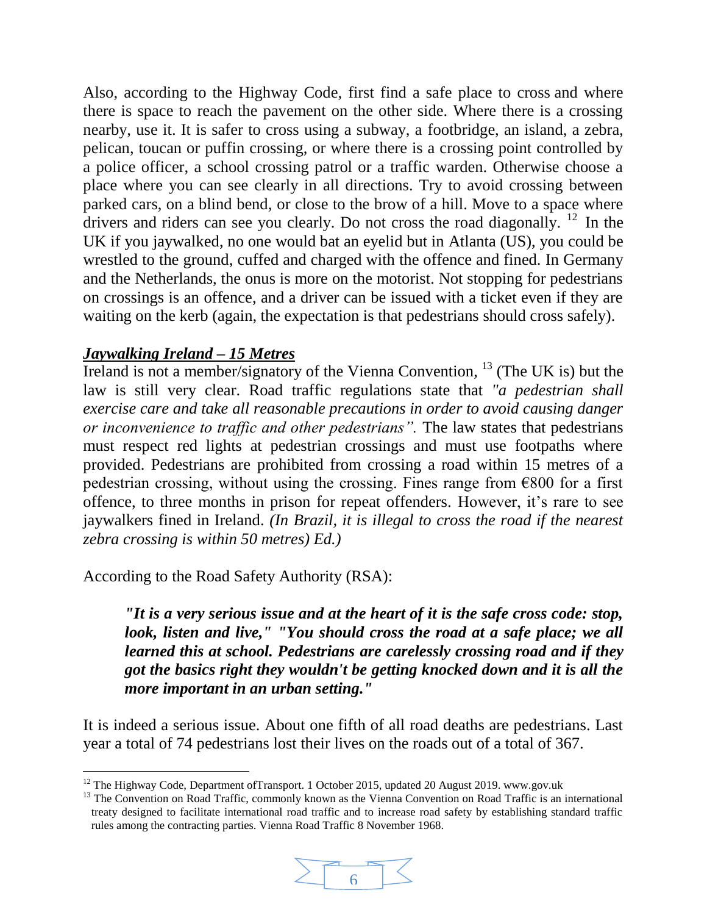Also, according to the Highway Code, first find a safe place to cross and where there is space to reach the pavement on the other side. Where there is a crossing nearby, use it. It is safer to cross using a subway, a footbridge, an island, a zebra, pelican, toucan or puffin crossing, or where there is a crossing point controlled by a police officer, a school crossing patrol or a traffic warden. Otherwise choose a place where you can see clearly in all directions. Try to avoid crossing between parked cars, on a blind bend, or close to the brow of a hill. Move to a space where drivers and riders can see you clearly. Do not cross the road diagonally.  $^{12}$  In the UK if you jaywalked, no one would bat an eyelid but in Atlanta (US), you could be wrestled to the ground, cuffed and charged with the offence and fined. In Germany and the Netherlands, the onus is more on the motorist. Not stopping for pedestrians on crossings is an offence, and a driver can be issued with a ticket even if they are waiting on the kerb (again, the expectation is that pedestrians should cross safely).

### *Jaywalking Ireland – 15 Metres*

l

Ireland is not a member/signatory of the Vienna Convention, <sup>13</sup> (The UK is) but the law is still very clear. Road traffic regulations state that *"a pedestrian shall exercise care and take all reasonable precautions in order to avoid causing danger or inconvenience to traffic and other pedestrians".* The law states that pedestrians must respect red lights at pedestrian crossings and must use footpaths where provided. Pedestrians are prohibited from crossing a road within 15 metres of a pedestrian crossing, without using the crossing. Fines range from  $\epsilon$ 800 for a first offence, to three months in prison for repeat offenders. However, it's rare to see jaywalkers fined in Ireland. *(In Brazil, it is illegal to cross the road if the nearest zebra crossing is within 50 metres) Ed.)*

According to the Road Safety Authority (RSA):

*"It is a very serious issue and at the heart of it is the safe cross code: stop, look, listen and live," "You should cross the road at a safe place; we all learned this at school. Pedestrians are carelessly crossing road and if they got the basics right they wouldn't be getting knocked down and it is all the more important in an urban setting."*

It is indeed a serious issue. About one fifth of all road deaths are pedestrians. Last year a total of 74 pedestrians lost their lives on the roads out of a total of 367.

<sup>&</sup>lt;sup>13</sup> The Convention on Road Traffic, commonly known as the Vienna Convention on Road Traffic is an international treaty designed to facilitate international road traffic and to increase road safety by establishing standard traffic rules among the contracting parties. Vienna Road Traffic 8 November 1968.



 $12$  The Highway Code, Department of Transport. 1 October 2015, updated 20 August 2019. www.gov.uk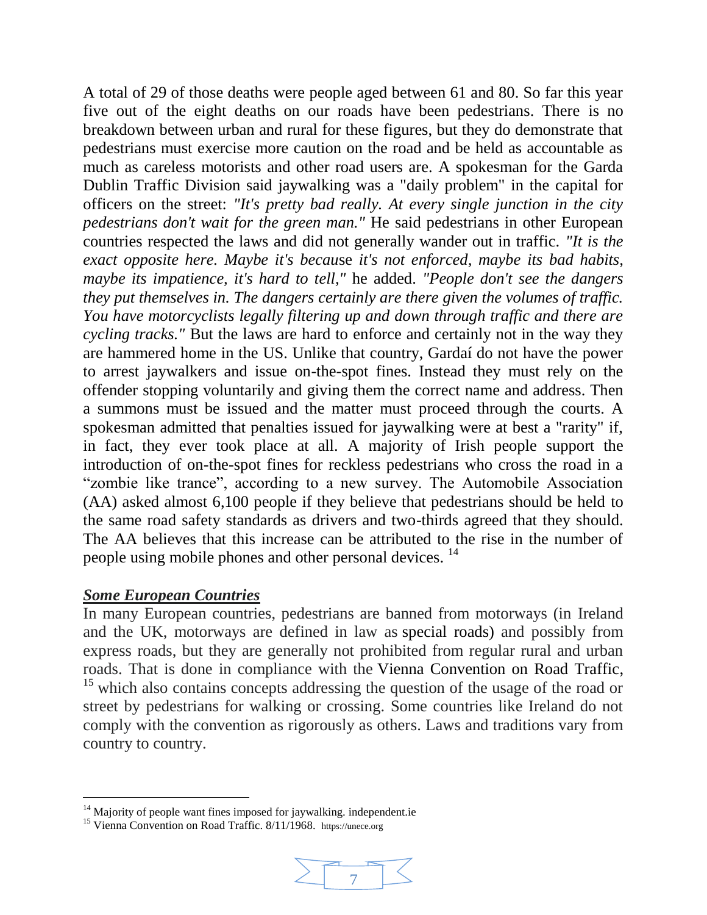A total of 29 of those deaths were people aged between 61 and 80. So far this year five out of the eight deaths on our roads have been pedestrians. There is no breakdown between urban and rural for these figures, but they do demonstrate that pedestrians must exercise more caution on the road and be held as accountable as much as careless motorists and other road users are. A spokesman for the Garda Dublin Traffic Division said jaywalking was a "daily problem" in the capital for officers on the street: *"It's pretty bad really. At every single junction in the city pedestrians don't wait for the green man."* He said pedestrians in other European countries respected the laws and did not generally wander out in traffic. *"It is the exact opposite here. Maybe it's becau*se *it's not enforced, maybe its bad habits, maybe its impatience, it's hard to tell,"* he added. *"People don't see the dangers they put themselves in. The dangers certainly are there given the volumes of traffic. You have motorcyclists legally filtering up and down through traffic and there are cycling tracks."* But the laws are hard to enforce and certainly not in the way they are hammered home in the US. Unlike that country, Gardaí do not have the power to arrest jaywalkers and issue on-the-spot fines. Instead they must rely on the offender stopping voluntarily and giving them the correct name and address. Then a summons must be issued and the matter must proceed through the courts. A spokesman admitted that penalties issued for jaywalking were at best a "rarity" if, in fact, they ever took place at all. A majority of Irish people support the introduction of on-the-spot fines for reckless pedestrians who cross the road in a "zombie like trance", according to a new survey. The Automobile Association (AA) asked almost 6,100 people if they believe that pedestrians should be held to the same road safety standards as drivers and two-thirds agreed that they should. The AA believes that this increase can be attributed to the rise in the number of people using mobile phones and other personal devices. <sup>14</sup>

### *Some European Countries*

l

In many European countries, pedestrians are banned from motorways (in Ireland and the UK, motorways are defined in law as [special roads\)](https://en.wikipedia.org/wiki/Special_road) and possibly from express roads, but they are generally not prohibited from regular rural and urban roads. That is done in compliance with the [Vienna Convention on Road Traffic,](https://en.wikipedia.org/wiki/Vienna_Convention_on_Road_Traffic) <sup>15</sup> which also contains concepts addressing the question of the usage of the road or street by pedestrians for walking or crossing. Some countries like Ireland do not comply with the convention as rigorously as others. Laws and traditions vary from country to country.

<sup>&</sup>lt;sup>15</sup> Vienna Convention on Road Traffic. 8/11/1968. https://unece.org



 $14$  Majority of people want fines imposed for jaywalking. independent.ie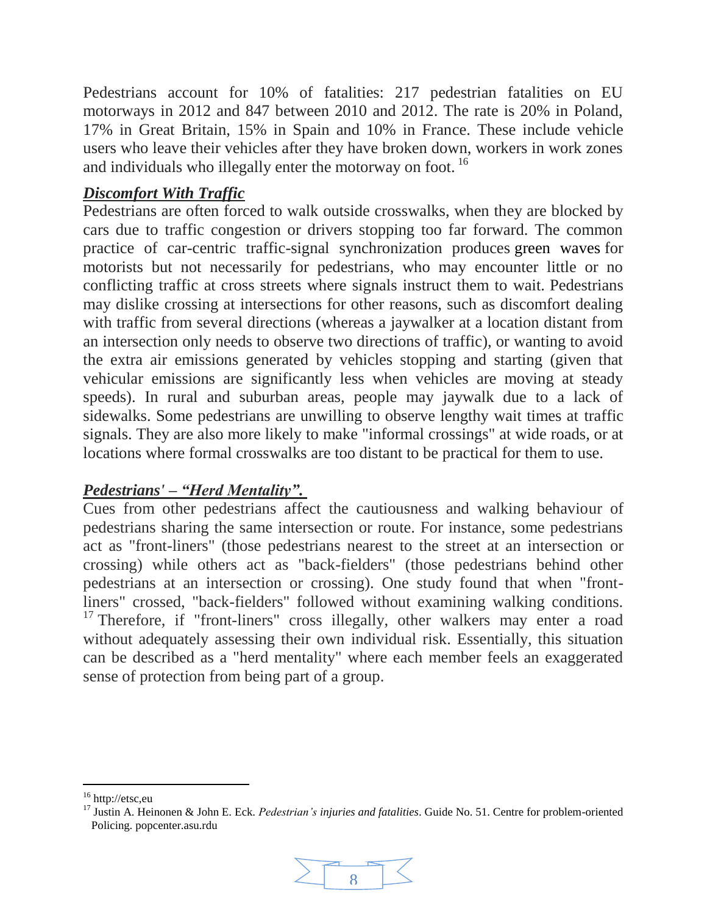Pedestrians account for 10% of fatalities: 217 pedestrian fatalities on EU motorways in 2012 and 847 between 2010 and 2012. The rate is 20% in Poland, 17% in Great Britain, 15% in Spain and 10% in France. These include vehicle users who leave their vehicles after they have broken down, workers in work zones and individuals who illegally enter the motorway on foot.<sup>16</sup>

# *Discomfort With Traffic*

Pedestrians are often forced to walk outside crosswalks, when they are blocked by cars due to traffic congestion or drivers stopping too far forward. The common practice of car-centric traffic-signal synchronization produces [green waves](https://en.wikipedia.org/wiki/Green_wave) for motorists but not necessarily for pedestrians, who may encounter little or no conflicting traffic at cross streets where signals instruct them to wait. Pedestrians may dislike crossing at intersections for other reasons, such as discomfort dealing with traffic from several directions (whereas a jaywalker at a location distant from an intersection only needs to observe two directions of traffic), or wanting to avoid the extra air emissions generated by vehicles stopping and starting (given that vehicular emissions are significantly less when vehicles are moving at steady speeds). In rural and suburban areas, people may jaywalk due to a lack of sidewalks. Some pedestrians are unwilling to observe lengthy wait times at traffic signals. They are also more likely to make "informal crossings" at wide roads, or at locations where formal crosswalks are too distant to be practical for them to use.

# *Pedestrians' – "Herd Mentality".*

Cues from other pedestrians affect the cautiousness and walking behaviour of pedestrians sharing the same intersection or route. For instance, some pedestrians act as "front-liners" (those pedestrians nearest to the street at an intersection or crossing) while others act as "back-fielders" (those pedestrians behind other pedestrians at an intersection or crossing). One study found that when "frontliners" crossed, "back-fielders" followed without examining walking conditions. <sup>17</sup> Therefore, if "front-liners" cross illegally, other walkers may enter a road without adequately assessing their own individual risk. Essentially, this situation can be described as a "herd mentality" where each member feels an exaggerated sense of protection from being part of a group.

 $\overline{a}$ 

<sup>17</sup> Justin A. Heinonen & John E. Eck. *Pedestrian's injuries and fatalities*. Guide No. 51. Centre for problem-oriented Policing. popcenter.asu.rdu



<sup>16</sup> http://etsc,eu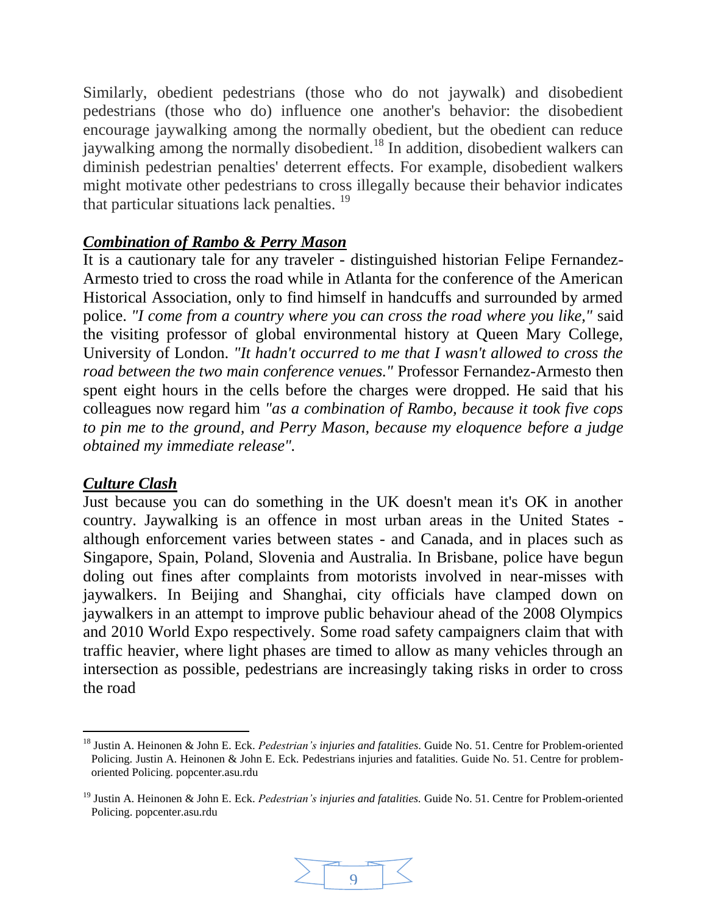Similarly, obedient pedestrians (those who do not jaywalk) and disobedient pedestrians (those who do) influence one another's behavior: the disobedient encourage jaywalking among the normally obedient, but the obedient can reduce jaywalking among the normally disobedient.<sup>18</sup> In addition, disobedient walkers can diminish pedestrian penalties' deterrent effects. For example, disobedient walkers might motivate other pedestrians to cross illegally because their behavior indicates that particular situations lack penalties. <sup>19</sup>

### *Combination of Rambo & Perry Mason*

It is a cautionary tale for any traveler - distinguished historian Felipe Fernandez-Armesto tried to cross the road while in Atlanta for the conference of the American Historical Association, only to find himself in handcuffs and surrounded by armed police. *"I come from a country where you can cross the road where you like,"* said the visiting professor of global environmental history at Queen Mary College, University of London. *"It hadn't occurred to me that I wasn't allowed to cross the road between the two main conference venues."* Professor Fernandez-Armesto then spent eight hours in the cells before the charges were dropped. He said that his colleagues now regard him *"as a combination of Rambo, because it took five cops to pin me to the ground, and Perry Mason, because my eloquence before a judge obtained my immediate release".*

### *Culture Clash*

 $\overline{a}$ 

Just because you can do something in the UK doesn't mean it's OK in another country. Jaywalking is an offence in most urban areas in the United States although enforcement varies between states - and Canada, and in places such as Singapore, Spain, Poland, Slovenia and Australia. In Brisbane, police have begun doling out fines after complaints from motorists involved in near-misses with jaywalkers. In Beijing and Shanghai, city officials have clamped down on jaywalkers in an attempt to improve public behaviour ahead of the 2008 Olympics and 2010 World Expo respectively. Some road safety campaigners claim that with traffic heavier, where light phases are timed to allow as many vehicles through an intersection as possible, pedestrians are increasingly taking risks in order to cross the road

<sup>19</sup> Justin A. Heinonen & John E. Eck. *Pedestrian's injuries and fatalities.* Guide No. 51. Centre for Problem-oriented Policing. popcenter.asu.rdu



<sup>18</sup> Justin A. Heinonen & John E. Eck. *Pedestrian's injuries and fatalities*. Guide No. 51. Centre for Problem-oriented Policing. Justin A. Heinonen & John E. Eck. Pedestrians injuries and fatalities. Guide No. 51. Centre for problemoriented Policing. popcenter.asu.rdu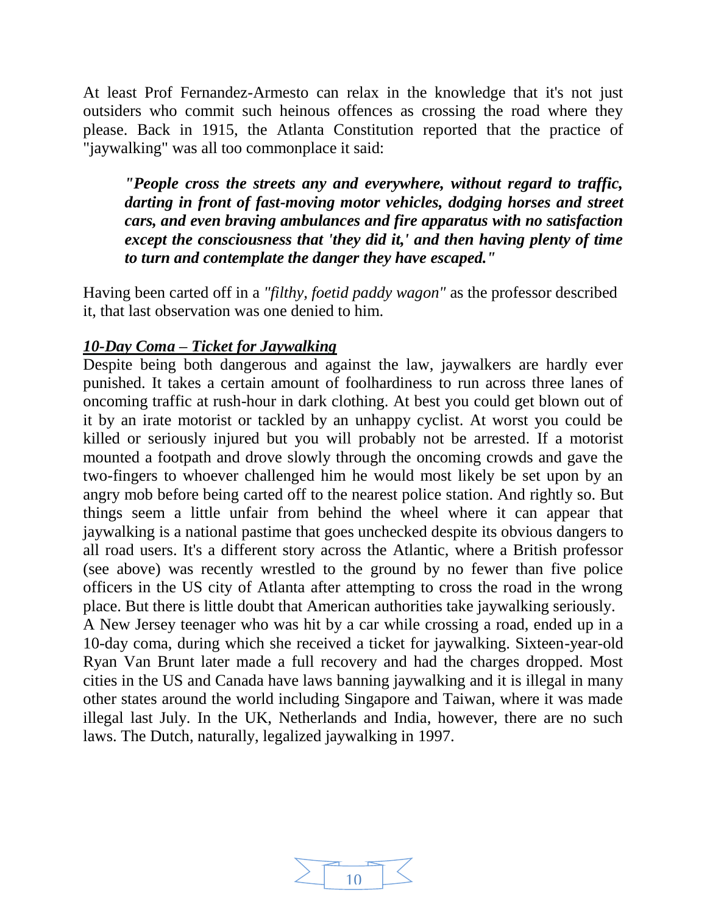At least Prof Fernandez-Armesto can relax in the knowledge that it's not just outsiders who commit such heinous offences as crossing the road where they please. Back in 1915, the Atlanta Constitution reported that the practice of "jaywalking" was all too commonplace it said:

*"People cross the streets any and everywhere, without regard to traffic, darting in front of fast-moving motor vehicles, dodging horses and street cars, and even braving ambulances and fire apparatus with no satisfaction except the consciousness that 'they did it,' and then having plenty of time to turn and contemplate the danger they have escaped."*

Having been carted off in a *"filthy, foetid paddy wagon"* as the professor described it, that last observation was one denied to him.

### *10-Day Coma – Ticket for Jaywalking*

Despite being both dangerous and against the law, jaywalkers are hardly ever punished. It takes a certain amount of foolhardiness to run across three lanes of oncoming traffic at rush-hour in dark clothing. At best you could get blown out of it by an irate motorist or tackled by an unhappy cyclist. At worst you could be killed or seriously injured but you will probably not be arrested. If a motorist mounted a footpath and drove slowly through the oncoming crowds and gave the two-fingers to whoever challenged him he would most likely be set upon by an angry mob before being carted off to the nearest police station. And rightly so. But things seem a little unfair from behind the wheel where it can appear that jaywalking is a national pastime that goes unchecked despite its obvious dangers to all road users. It's a different story across the Atlantic, where a British professor (see above) was recently wrestled to the ground by no fewer than five police officers in the US city of Atlanta after attempting to cross the road in the wrong place. But there is little doubt that American authorities take jaywalking seriously.

A New Jersey teenager who was hit by a car while crossing a road, ended up in a 10-day coma, during which she received a ticket for jaywalking. Sixteen-year-old Ryan Van Brunt later made a full recovery and had the charges dropped. Most cities in the US and Canada have laws banning jaywalking and it is illegal in many other states around the world including Singapore and Taiwan, where it was made illegal last July. In the UK, Netherlands and India, however, there are no such laws. The Dutch, naturally, legalized jaywalking in 1997.

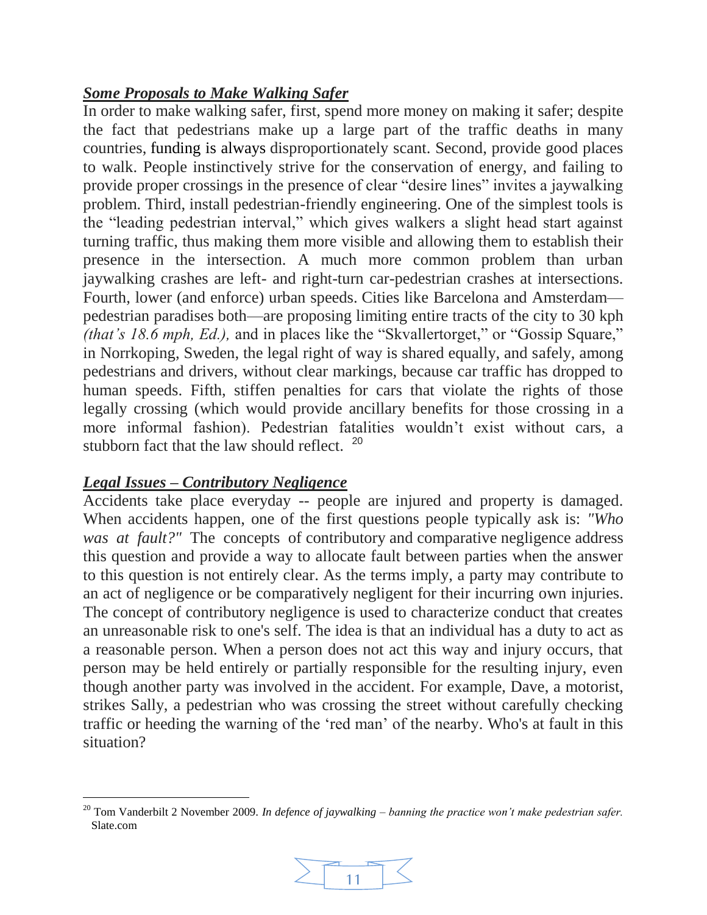# *Some Proposals to Make Walking Safer*

In order to make walking safer, first, spend more money on making it safer; despite the fact that pedestrians make up a large part of the traffic deaths in many countries, [funding is always](http://www.transact.org/ca/design/three.htm) disproportionately scant. Second, provide good places to walk. People instinctively strive for the conservation of energy, and failing to provide proper crossings in the presence of clear "desire lines" invites a jaywalking problem. Third, install pedestrian-friendly engineering. One of the simplest tools is the "leading pedestrian interval," which gives walkers a slight head start against turning traffic, thus making them more visible and allowing them to establish their presence in the intersection. A much more common problem than urban jaywalking crashes are left- and right-turn car-pedestrian crashes at intersections. Fourth, lower (and enforce) urban speeds. Cities like Barcelona and Amsterdam pedestrian paradises both—are proposing limiting entire tracts of the city to 30 kph *(that's 18.6 mph, Ed.),* and in places like the "Skvallertorget," or "Gossip Square," in Norrkoping, Sweden, the legal right of way is shared equally, and safely, among pedestrians and drivers, without clear markings, because car traffic has dropped to human speeds. Fifth, stiffen penalties for cars that violate the rights of those legally crossing (which would provide ancillary benefits for those crossing in a more informal fashion). Pedestrian fatalities wouldn't exist without cars, a stubborn fact that the law should reflect.<sup>20</sup>

# *Legal Issues – Contributory Negligence*

Accidents take place everyday -- people are injured and property is damaged. When accidents happen, one of the first questions people typically ask is: *"Who was at fault?"* The concepts of contributory and [comparative](https://dictionary.findlaw.com/definition/negligence.html) negligence address this question and provide a way to allocate fault between parties when the answer to this question is not entirely clear. As the terms imply, a party may contribute to an act of negligence or be comparatively negligent for their incurring own injuries. The concept of contributory negligence is used to characterize conduct that creates an unreasonable risk to one's self. The idea is that an individual has a duty to act as a reasonable person. When a person does not act this way and injury occurs, that person may be held entirely or partially responsible for the resulting injury, even though another party was involved in the accident. For example, Dave, a motorist, strikes Sally, a pedestrian who was crossing the street without carefully checking traffic or heeding the warning of the 'red man' of the nearby. Who's at fault in this situation?

l <sup>20</sup> Tom Vanderbilt 2 November 2009. *In defence of jaywalking – banning the practice won't make pedestrian safer.* Slate.com

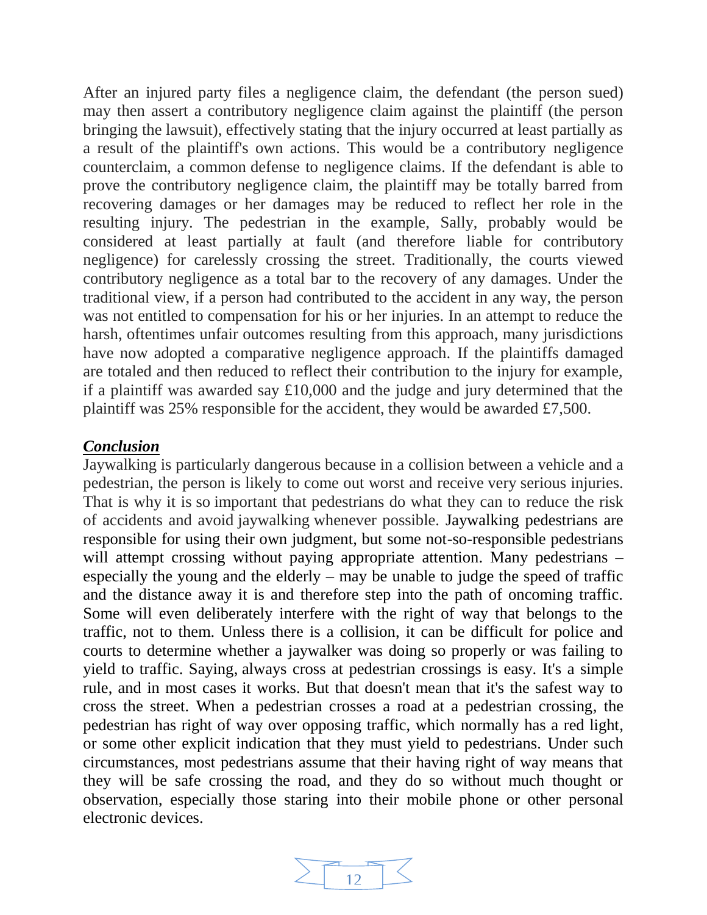After an injured party files a negligence claim, the defendant (the person sued) may then assert a contributory negligence claim against the plaintiff (the person bringing the lawsuit), effectively stating that the injury occurred at least partially as a result of the plaintiff's own actions. This would be a contributory negligence counterclaim, a common [defense to negligence claims.](https://injury.findlaw.com/accident-injury-law/defenses-to-negligence-claims.html) If the defendant is able to prove the contributory negligence claim, the plaintiff may be totally barred from recovering damages or her damages may be reduced to reflect her role in the resulting injury. The pedestrian in the example, Sally, probably would be considered at least partially at fault (and therefore liable for contributory negligence) for carelessly crossing the street. Traditionally, the courts viewed contributory negligence as a total bar to the recovery of any damages. Under the traditional view, if a person had contributed to the accident in any way, the person was not entitled to compensation for his or her injuries. In an attempt to reduce the harsh, oftentimes unfair outcomes resulting from this approach, many jurisdictions have now adopted a comparative negligence approach. If the plaintiffs damaged are totaled and then reduced to reflect their contribution to the injury for example, if a plaintiff was awarded say £10,000 and the judge and jury determined that the plaintiff was 25% responsible for the accident, they would be awarded £7,500.

### *Conclusion*

Jaywalking is particularly dangerous because in a collision between a vehicle and a pedestrian, the person is likely to come out worst and receive very serious injuries. That is why it is so important that pedestrians do what they can to reduce the risk of accidents and avoid jaywalking whenever possible. Jaywalking pedestrians are responsible for using their own judgment, but some not-so-responsible pedestrians will attempt crossing without paying appropriate attention. Many pedestrians – especially the young and the elderly – may be unable to judge the speed of traffic and the distance away it is and therefore step into the path of oncoming traffic. Some will even deliberately interfere with the right of way that belongs to the traffic, not to them. Unless there is a collision, it can be difficult for police and courts to determine whether a jaywalker was doing so properly or was failing to yield to traffic. Saying, always cross at pedestrian crossings is easy. It's a simple rule, and in most cases it works. But that doesn't mean that it's the safest way to cross the street. When a pedestrian crosses a road at a pedestrian crossing, the pedestrian has right of way over opposing traffic, which normally has a red light, or some other explicit indication that they must yield to pedestrians. Under such circumstances, most pedestrians assume that their having right of way means that they will be safe crossing the road, and they do so without much thought or observation, especially those staring into their mobile phone or other personal electronic devices.